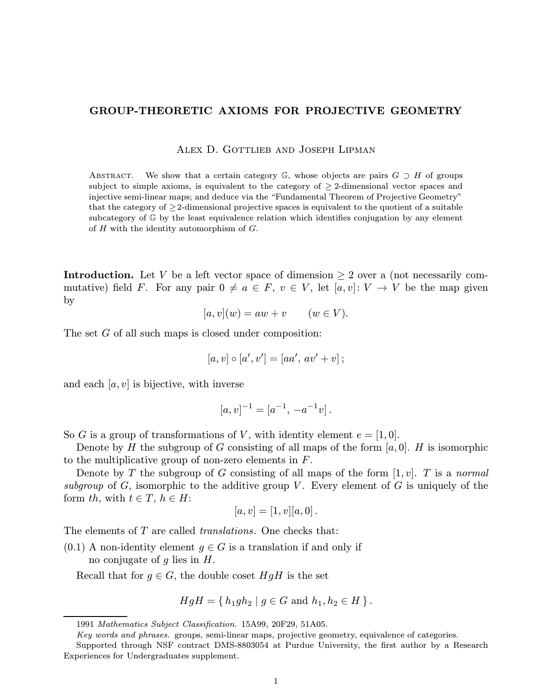## GROUP-THEORETIC AXIOMS FOR PROJECTIVE GEOMETRY

Alex D. Gottlieb and Joseph Lipman

ABSTRACT. We show that a certain category  $\mathbb{G}$ , whose objects are pairs  $G \supset H$  of groups subject to simple axioms, is equivalent to the category of  $\geq$  2-dimensional vector spaces and injective semi-linear maps; and deduce via the "Fundamental Theorem of Projective Geometry" that the category of  $\geq$ 2-dimensional projective spaces is equivalent to the quotient of a suitable subcategory of G by the least equivalence relation which identifies conjugation by any element of  $H$  with the identity automorphism of  $G$ .

**Introduction.** Let V be a left vector space of dimension  $\geq 2$  over a (not necessarily commutative) field F. For any pair  $0 \neq a \in F$ ,  $v \in V$ , let  $[a, v]: V \to V$  be the map given by

$$
[a, v](w) = aw + v \qquad (w \in V).
$$

The set G of all such maps is closed under composition:

$$
[a, v] \circ [a', v'] = [aa', av' + v];
$$

and each  $[a, v]$  is bijective, with inverse

$$
[a, v]^{-1} = [a^{-1}, -a^{-1}v].
$$

So G is a group of transformations of V, with identity element  $e = [1, 0]$ .

Denote by H the subgroup of G consisting of all maps of the form  $[a, 0]$ . H is isomorphic to the multiplicative group of non-zero elements in F.

Denote by T the subgroup of G consisting of all maps of the form  $[1, v]$ . T is a normal subgroup of G, isomorphic to the additive group V. Every element of G is uniquely of the form th, with  $t \in T$ ,  $h \in H$ :

$$
[a, v] = [1, v][a, 0].
$$

The elements of T are called *translations*. One checks that:

 $(0.1)$  A non-identity element  $g \in G$  is a translation if and only if no conjugate of  $g$  lies in  $H$ .

Recall that for  $g \in G$ , the double coset  $HgH$  is the set

$$
HgH = \{ h_1gh_2 \mid g \in G \text{ and } h_1, h_2 \in H \}.
$$

<sup>1991</sup> Mathematics Subject Classification. 15A99, 20F29, 51A05.

Key words and phrases. groups, semi-linear maps, projective geometry, equivalence of categories.

Supported through NSF contract DMS-8803054 at Purdue University, the first author by a Research Experiences for Undergraduates supplement.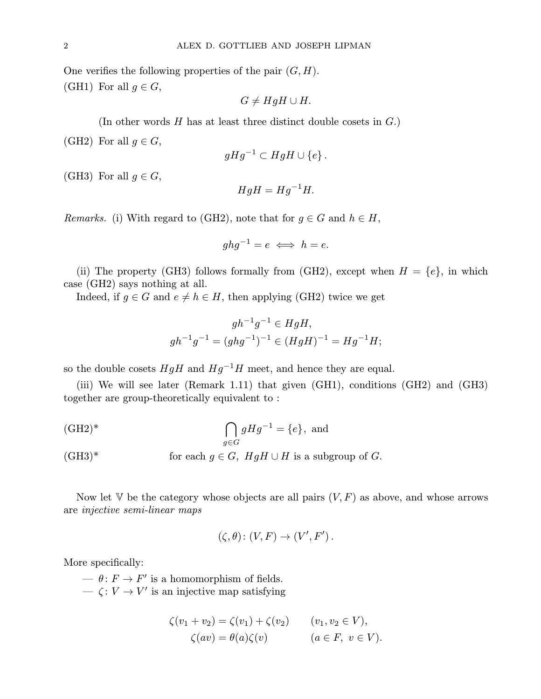One verifies the following properties of the pair  $(G, H)$ . (GH1) For all  $g \in G$ ,

 $G \neq HqH \cup H$ .

(In other words  $H$  has at least three distinct double cosets in  $G$ .)

(GH2) For all  $g \in G$ ,

$$
gHg^{-1} \subset HgH \cup \{e\}.
$$

(GH3) For all  $q \in G$ ,

$$
HgH = Hg^{-1}H.
$$

*Remarks.* (i) With regard to (GH2), note that for  $g \in G$  and  $h \in H$ ,

$$
ghg^{-1}=e \iff h=e.
$$

(ii) The property (GH3) follows formally from (GH2), except when  $H = \{e\}$ , in which case (GH2) says nothing at all.

Indeed, if  $g \in G$  and  $e \neq h \in H$ , then applying (GH2) twice we get

$$
gh^{-1}g^{-1} \in HgH,
$$
  

$$
gh^{-1}g^{-1} = (ghg^{-1})^{-1} \in (HgH)^{-1} = Hg^{-1}H;
$$

so the double cosets  $HgH$  and  $Hg^{-1}H$  meet, and hence they are equal.

(iii) We will see later (Remark 1.11) that given (GH1), conditions (GH2) and (GH3) together are group-theoretically equivalent to :

$$
\bigcap_{g \in G} gHg^{-1} = \{e\}, \text{ and}
$$

(GH3)<sup>\*</sup> for each  $g \in G$ ,  $HgH \cup H$  is a subgroup of G.

Now let V be the category whose objects are all pairs  $(V, F)$  as above, and whose arrows are injective semi-linear maps

$$
(\zeta, \theta) \colon (V, F) \to (V', F').
$$

More specifically:

—  $\theta: F \to F'$  is a homomorphism of fields.  $\overline{\phantom{C}}$   $\zeta: V \rightarrow V'$  is an injective map satisfying

$$
\zeta(v_1 + v_2) = \zeta(v_1) + \zeta(v_2) \qquad (v_1, v_2 \in V),
$$
  

$$
\zeta(av) = \theta(a)\zeta(v) \qquad (a \in F, v \in V).
$$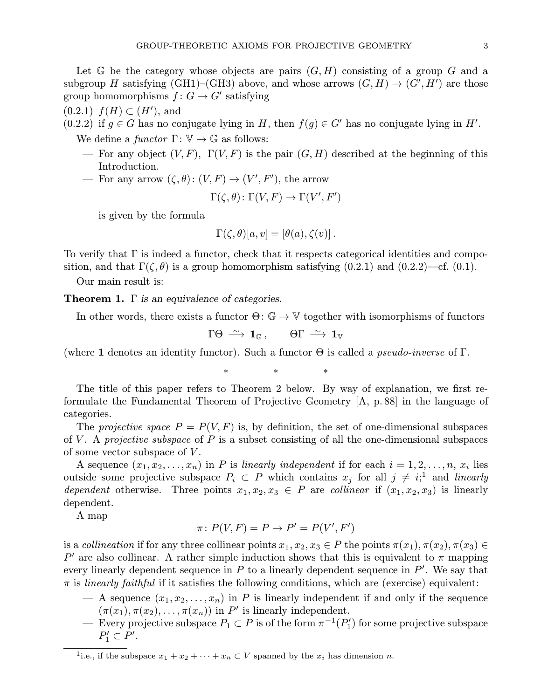Let  $G$  be the category whose objects are pairs  $(G, H)$  consisting of a group G and a subgroup H satisfying (GH1)–(GH3) above, and whose arrows  $(G, H) \rightarrow (G', H')$  are those group homomorphisms  $f: G \to G'$  satisfying

 $(0.2.1)$   $f(H) \subset (H')$ , and

 $(0.2.2)$  if  $g \in G$  has no conjugate lying in H, then  $f(g) \in G'$  has no conjugate lying in H'.

We define a functor  $\Gamma: \mathbb{V} \to \mathbb{G}$  as follows:

- For any object  $(V, F)$ ,  $\Gamma(V, F)$  is the pair  $(G, H)$  described at the beginning of this Introduction.
- For any arrow  $(\zeta, \theta) : (V, F) \to (V', F')$ , the arrow

$$
\Gamma(\zeta,\theta) \colon \Gamma(V,F) \to \Gamma(V',F')
$$

is given by the formula

$$
\Gamma(\zeta,\theta)[a,v] = [\theta(a),\zeta(v)].
$$

To verify that Γ is indeed a functor, check that it respects categorical identities and composition, and that  $\Gamma(\zeta,\theta)$  is a group homomorphism satisfying (0.2.1) and (0.2.2)—cf. (0.1).

Our main result is:

**Theorem 1.**  $\Gamma$  is an equivalence of categories.

In other words, there exists a functor  $\Theta \colon \mathbb{G} \to \mathbb{V}$  together with isomorphisms of functors

 $\Gamma \Theta \stackrel{\sim}{\longrightarrow} \mathbf{1}_{\mathbb{G}}$ ,  $\Theta \Gamma \stackrel{\sim}{\longrightarrow} \mathbf{1}_{\mathbb{V}}$ 

(where 1 denotes an identity functor). Such a functor  $\Theta$  is called a *pseudo-inverse* of  $\Gamma$ .

∗∗∗

The title of this paper refers to Theorem 2 below. By way of explanation, we first reformulate the Fundamental Theorem of Projective Geometry [A, p. 88] in the language of categories.

The projective space  $P = P(V, F)$  is, by definition, the set of one-dimensional subspaces of V. A projective subspace of P is a subset consisting of all the one-dimensional subspaces of some vector subspace of  $V$ .

A sequence  $(x_1, x_2,...,x_n)$  in P is linearly independent if for each  $i = 1, 2,...,n$ ,  $x_i$  lies outside some projective subspace  $P_i \subset P$  which contains  $x_j$  for all  $j \neq i;$ <sup>1</sup> and *linearly* dependent otherwise. Three points  $x_1, x_2, x_3 \in P$  are collinear if  $(x_1, x_2, x_3)$  is linearly dependent.

A map

$$
\pi\colon P(V,F) = P \to P' = P(V',F')
$$

is a collineation if for any three collinear points  $x_1, x_2, x_3 \in P$  the points  $\pi(x_1), \pi(x_2), \pi(x_3) \in$ P' are also collinear. A rather simple induction shows that this is equivalent to  $\pi$  mapping every linearly dependent sequence in  $P$  to a linearly dependent sequence in  $P'$ . We say that  $\pi$  is *linearly faithful* if it satisfies the following conditions, which are (exercise) equivalent:

- A sequence  $(x_1, x_2, \ldots, x_n)$  in P is linearly independent if and only if the sequence  $(\pi(x_1), \pi(x_2), \ldots, \pi(x_n))$  in P' is linearly independent.
- Every projective subspace  $P_1$  ⊂  $P$  is of the form  $\pi^{-1}(P_1')$  for some projective subspace  $P'_1 \subset P'.$

<sup>&</sup>lt;sup>1</sup>i.e., if the subspace  $x_1 + x_2 + \cdots + x_n \subset V$  spanned by the  $x_i$  has dimension n.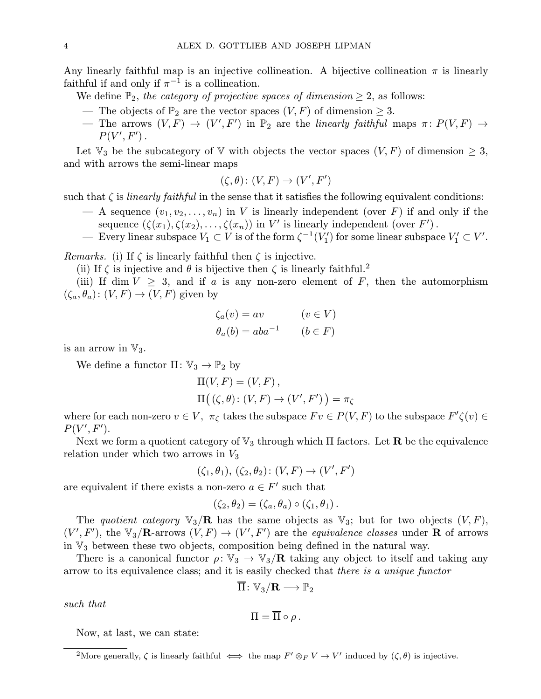Any linearly faithful map is an injective collineation. A bijective collineation  $\pi$  is linearly faithful if and only if  $\pi^{-1}$  is a collineation.

We define  $\mathbb{P}_2$ , the category of projective spaces of dimension  $\geq 2$ , as follows:

- The objects of  $\mathbb{P}_2$  are the vector spaces  $(V, F)$  of dimension  $\geq 3$ .
- $-$  The arrows  $(V, F) \rightarrow (V', F')$  in  $\mathbb{P}_2$  are the *linearly faithful* maps  $\pi \colon P(V, F) \rightarrow$  $P(V',F')$  .

Let  $\mathbb{V}_3$  be the subcategory of  $\mathbb {V}$  with objects the vector spaces  $(V, F)$  of dimension  $\geq 3$ , and with arrows the semi-linear maps

$$
(\zeta, \theta) \colon (V, F) \to (V', F')
$$

such that  $\zeta$  is *linearly faithful* in the sense that it satisfies the following equivalent conditions:

- A sequence  $(v_1, v_2, \ldots, v_n)$  in V is linearly independent (over F) if and only if the sequence  $(\zeta(x_1), \zeta(x_2), \ldots, \zeta(x_n))$  in  $V'$  is linearly independent (over  $F'$ ).
- Every linear subspace  $V_1$  ⊂ V is of the form  $\zeta^{-1}(V'_1)$  for some linear subspace  $V'_1$  ⊂ V'.

*Remarks.* (i) If  $\zeta$  is linearly faithful then  $\zeta$  is injective.

(ii) If  $\zeta$  is injective and  $\theta$  is bijective then  $\zeta$  is linearly faithful.<sup>2</sup>

(iii) If dim  $V > 3$ , and if a is any non-zero element of F, then the automorphism  $(\zeta_a, \theta_a): (V, F) \to (V, F)$  given by

$$
\zeta_a(v) = av \qquad (v \in V)
$$
  

$$
\theta_a(b) = aba^{-1} \qquad (b \in F)
$$

is an arrow in  $\mathbb{V}_3$ .

We define a functor  $\Pi: \mathbb{V}_3 \to \mathbb{P}_2$  by

$$
\Pi(V, F) = (V, F),
$$
  
 
$$
\Pi((\zeta, \theta) : (V, F) \to (V', F')) = \pi_{\zeta}
$$

where for each non-zero  $v \in V$ ,  $\pi_{\zeta}$  takes the subspace  $Fv \in P(V, F)$  to the subspace  $F' \zeta(v) \in$  $P(V',F').$ 

Next we form a quotient category of  $\mathbb{V}_3$  through which  $\Pi$  factors. Let **R** be the equivalence relation under which two arrows in  $V_3$ 

$$
(\zeta_1, \theta_1), (\zeta_2, \theta_2) \colon (V, F) \to (V', F')
$$

are equivalent if there exists a non-zero  $a \in F'$  such that

$$
(\zeta_2, \theta_2) = (\zeta_a, \theta_a) \circ (\zeta_1, \theta_1).
$$

The quotient category  $\mathbb{V}_3/\mathbb{R}$  has the same objects as  $\mathbb{V}_3$ ; but for two objects  $(V, F)$ ,  $(V', F')$ , the  $\mathbb{V}_3/\mathbf{R}$ -arrows  $(V, F) \to (V', F')$  are the *equivalence classes* under **R** of arrows in  $\mathbb{V}_3$  between these two objects, composition being defined in the natural way.

There is a canonical functor  $\rho: V_3 \to V_3/R$  taking any object to itself and taking any arrow to its equivalence class; and it is easily checked that there is a unique functor

$$
\Pi\colon \mathbb{V}_3/\mathbf{R}\longrightarrow \mathbb{P}_2
$$

such that

$$
\Pi=\overline{\Pi}\circ\rho.
$$

Now, at last, we can state:

<sup>&</sup>lt;sup>2</sup>More generally,  $\zeta$  is linearly faithful  $\iff$  the map  $F' \otimes_F V \to V'$  induced by  $(\zeta, \theta)$  is injective.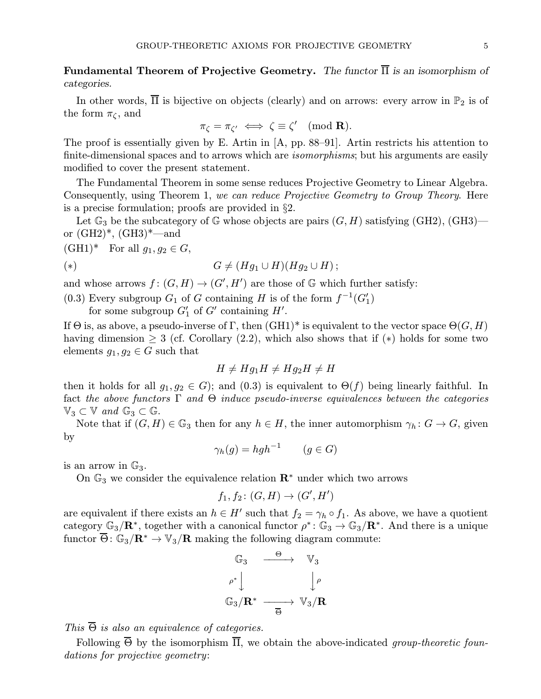Fundamental Theorem of Projective Geometry. The functor  $\overline{\Pi}$  is an isomorphism of categories.

In other words,  $\overline{\Pi}$  is bijective on objects (clearly) and on arrows: every arrow in  $\mathbb{P}_2$  is of the form  $\pi_{\zeta}$ , and

$$
\pi_{\zeta} = \pi_{\zeta'} \iff \zeta \equiv \zeta' \pmod{\mathbf{R}}.
$$

The proof is essentially given by E. Artin in [A, pp. 88–91]. Artin restricts his attention to finite-dimensional spaces and to arrows which are *isomorphisms*; but his arguments are easily modified to cover the present statement.

The Fundamental Theorem in some sense reduces Projective Geometry to Linear Algebra. Consequently, using Theorem 1, we can reduce Projective Geometry to Group Theory. Here is a precise formulation; proofs are provided in §2.

Let  $\mathbb{G}_3$  be the subcategory of  $\mathbb{G}$  whose objects are pairs  $(G, H)$  satisfying  $(\text{GH2})$ ,  $(\text{GH3})$  or  $(GH2)^*, (GH3)^*$ —and

 $(GH1)^*$  For all  $g_1, g_2 \in G$ ,

$$
(*)\qquad \qquad G \neq (Hg_1 \cup H)(Hg_2 \cup H)\,;
$$

and whose arrows  $f: (G, H) \to (G', H')$  are those of G which further satisfy:

(0.3) Every subgroup  $G_1$  of G containing H is of the form  $f^{-1}(G'_1)$ 

for some subgroup  $G'_{1}$  of  $G'$  containing  $H'$ .

If  $\Theta$  is, as above, a pseudo-inverse of Γ, then  $(GH1)^*$  is equivalent to the vector space  $\Theta(G, H)$ having dimension  $\geq 3$  (cf. Corollary (2.2), which also shows that if (\*) holds for some two elements  $g_1, g_2 \in G$  such that

$$
H \neq Hg_1H \neq Hg_2H \neq H
$$

then it holds for all  $g_1, g_2 \in G$ ; and  $(0.3)$  is equivalent to  $\Theta(f)$  being linearly faithful. In fact the above functors  $\Gamma$  and  $\Theta$  induce pseudo-inverse equivalences between the categories  $\mathbb{V}_3 \subset \mathbb{V}$  and  $\mathbb{G}_3 \subset \mathbb{G}$ .

Note that if  $(G, H) \in \mathbb{G}_3$  then for any  $h \in H$ , the inner automorphism  $\gamma_h : G \to G$ , given by

$$
\gamma_h(g) = hgh^{-1} \qquad (g \in G)
$$

is an arrow in  $\mathbb{G}_3$ .

On  $\mathbb{G}_3$  we consider the equivalence relation  $\mathbb{R}^*$  under which two arrows

$$
f_1, f_2 \colon (G, H) \to (G', H')
$$

are equivalent if there exists an  $h \in H'$  such that  $f_2 = \gamma_h \circ f_1$ . As above, we have a quotient category  $\mathbb{G}_3/\mathbf{R}^*$ , together with a canonical functor  $\rho^*: \mathbb{G}_3 \to \mathbb{G}_3/\mathbf{R}^*$ . And there is a unique functor  $\overline{\Theta}$ :  $\mathbb{G}_3/\mathbf{R}^* \to \mathbb{V}_3/\mathbf{R}$  making the following diagram commute:



This  $\overline{\Theta}$  is also an equivalence of categories.

Following  $\overline{\Theta}$  by the isomorphism  $\overline{\Pi}$ , we obtain the above-indicated group-theoretic foundations for projective geometry: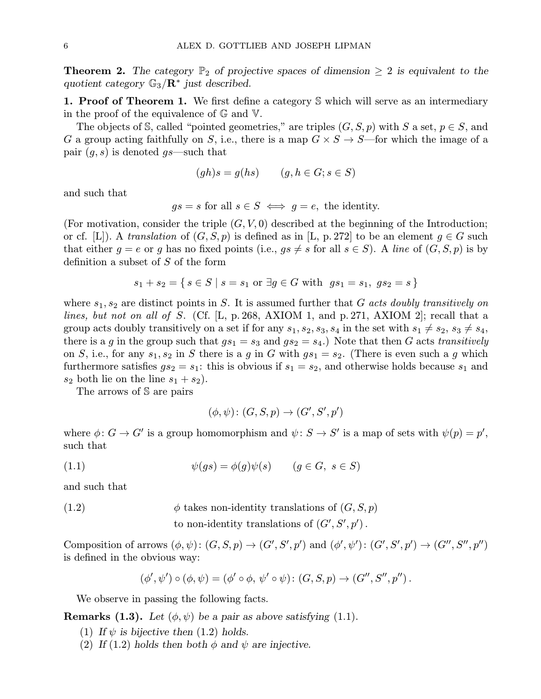**Theorem 2.** The category  $\mathbb{P}_2$  of projective spaces of dimension  $\geq 2$  is equivalent to the quotient category  $\mathbb{G}_3/\mathbb{R}^*$  just described.

1. Proof of Theorem 1. We first define a category S which will serve as an intermediary in the proof of the equivalence of G and V.

The objects of S, called "pointed geometries," are triples  $(G, S, p)$  with S a set,  $p \in S$ , and G a group acting faithfully on S, i.e., there is a map  $G \times S \to S$ —for which the image of a pair  $(g, s)$  is denoted  $gs$ —such that

$$
(gh)s = g(hs) \qquad (g, h \in G; s \in S)
$$

and such that

 $qs = s$  for all  $s \in S \iff q = e$ , the identity.

(For motivation, consider the triple  $(G, V, 0)$  described at the beginning of the Introduction; or cf. [L]). A translation of  $(G, S, p)$  is defined as in [L, p. 272] to be an element  $g \in G$  such that either  $g = e$  or g has no fixed points (i.e.,  $gs \neq s$  for all  $s \in S$ ). A line of  $(G, S, p)$  is by definition a subset of  $S$  of the form

$$
s_1 + s_2 = \{ s \in S \mid s = s_1 \text{ or } \exists g \in G \text{ with } gs_1 = s_1, \text{ } gs_2 = s \}
$$

where  $s_1, s_2$  are distinct points in S. It is assumed further that G acts doubly transitively on lines, but not on all of S. (Cf. [L, p. 268, AXIOM 1, and p. 271, AXIOM 2]; recall that a group acts doubly transitively on a set if for any  $s_1, s_2, s_3, s_4$  in the set with  $s_1 \neq s_2, s_3 \neq s_4$ , there is a g in the group such that  $gs_1 = s_3$  and  $gs_2 = s_4$ .) Note that then G acts transitively on S, i.e., for any  $s_1, s_2$  in S there is a g in G with  $gs_1 = s_2$ . (There is even such a g which furthermore satisfies  $gs_2 = s_1$ : this is obvious if  $s_1 = s_2$ , and otherwise holds because  $s_1$  and  $s_2$  both lie on the line  $s_1 + s_2$ .

The arrows of S are pairs

$$
(\phi, \psi) \colon (G, S, p) \to (G', S', p')
$$

where  $\phi: G \to G'$  is a group homomorphism and  $\psi: S \to S'$  is a map of sets with  $\psi(p) = p'$ , such that

(1.1) 
$$
\psi(gs) = \phi(g)\psi(s) \qquad (g \in G, \ s \in S)
$$

and such that

(1.2) 
$$
\phi \text{ takes non-identity translations of } (G, S, p)
$$
  
to non-identity translations of  $(G', S', p')$ .

Composition of arrows  $(\phi, \psi) : (G, S, p) \to (G', S', p')$  and  $(\phi', \psi') : (G', S', p') \to (G'', S'', p'')$ is defined in the obvious way:

$$
(\phi', \psi') \circ (\phi, \psi) = (\phi' \circ \phi, \psi' \circ \psi) \colon (G, S, p) \to (G'', S'', p'') .
$$

We observe in passing the following facts.

**Remarks (1.3).** Let  $(\phi, \psi)$  be a pair as above satisfying (1.1).

- (1) If  $\psi$  is bijective then (1.2) holds.
- (2) If (1.2) holds then both  $\phi$  and  $\psi$  are injective.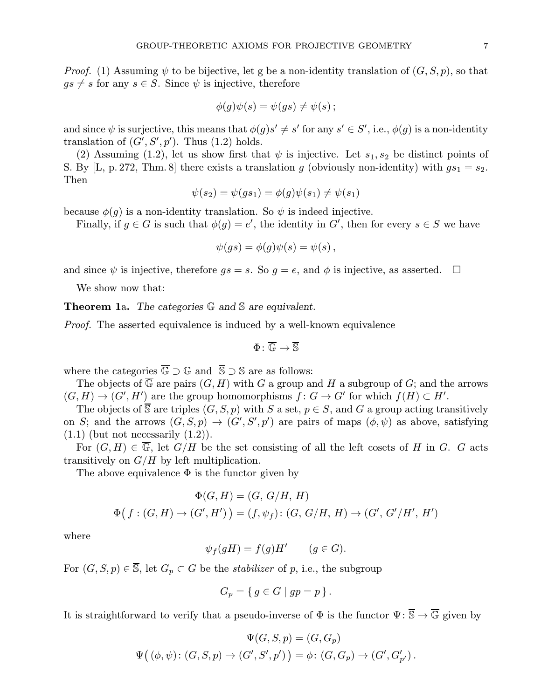*Proof.* (1) Assuming  $\psi$  to be bijective, let g be a non-identity translation of  $(G, S, p)$ , so that  $gs \neq s$  for any  $s \in S$ . Since  $\psi$  is injective, therefore

$$
\phi(g)\psi(s) = \psi(gs) \neq \psi(s) \, ;
$$

and since  $\psi$  is surjective, this means that  $\phi(g)s' \neq s'$  for any  $s' \in S'$ , i.e.,  $\phi(g)$  is a non-identity translation of  $(G', S', p')$ . Thus  $(1.2)$  holds.

(2) Assuming (1.2), let us show first that  $\psi$  is injective. Let  $s_1, s_2$  be distinct points of S. By [L, p. 272, Thm. 8] there exists a translation g (obviously non-identity) with  $gs_1 = s_2$ . Then

$$
\psi(s_2) = \psi(gs_1) = \phi(g)\psi(s_1) \neq \psi(s_1)
$$

because  $\phi(g)$  is a non-identity translation. So  $\psi$  is indeed injective.

Finally, if  $g \in G$  is such that  $\phi(g) = e'$ , the identity in G', then for every  $s \in S$  we have

$$
\psi(gs)=\phi(g)\psi(s)=\psi(s)\,,
$$

and since  $\psi$  is injective, therefore  $gs = s$ . So  $g = e$ , and  $\phi$  is injective, as asserted.  $\square$ 

We show now that:

Theorem 1a. The categories  $\mathbb G$  and  $\mathbb S$  are equivalent.

Proof. The asserted equivalence is induced by a well-known equivalence

$$
\Phi\colon \overline{\mathbb{G}}\to \overline{\mathbb{S}}
$$

where the categories  $\overline{\mathbb{G}} \supset \mathbb{G}$  and  $\overline{\mathbb{S}} \supset \mathbb{S}$  are as follows:

The objects of  $\overline{\mathbb{G}}$  are pairs  $(G, H)$  with G a group and H a subgroup of G; and the arrows  $(G, H) \to (G', H')$  are the group homomorphisms  $f: G \to G'$  for which  $f(H) \subset H'$ .

The objects of  $\overline{S}$  are triples  $(G, S, p)$  with S a set,  $p \in S$ , and G a group acting transitively on S; and the arrows  $(G, S, p) \rightarrow (G', S', p')$  are pairs of maps  $(\phi, \psi)$  as above, satisfying  $(1.1)$  (but not necessarily  $(1.2)$ ).

For  $(G, H) \in \overline{\mathbb{G}}$ , let  $G/H$  be the set consisting of all the left cosets of H in G. G acts transitively on  $G/H$  by left multiplication.

The above equivalence  $\Phi$  is the functor given by

$$
\Phi(G, H) = (G, G/H, H)
$$
  

$$
\Phi(f : (G, H) \to (G', H')) = (f, \psi_f) : (G, G/H, H) \to (G', G'/H', H')
$$

where

$$
\psi_f(gH) = f(g)H' \qquad (g \in G).
$$

For  $(G, S, p) \in \overline{S}$ , let  $G_p \subset G$  be the *stabilizer* of p, i.e., the subgroup

$$
G_p = \{ g \in G \mid gp = p \}.
$$

It is straightforward to verify that a pseudo-inverse of  $\Phi$  is the functor  $\Psi: \overline{\mathbb{S}} \to \overline{\mathbb{G}}$  given by

$$
\Psi(G, S, p) = (G, G_p)
$$
  

$$
\Psi((\phi, \psi): (G, S, p) \to (G', S', p')) = \phi: (G, G_p) \to (G', G'_{p'}).
$$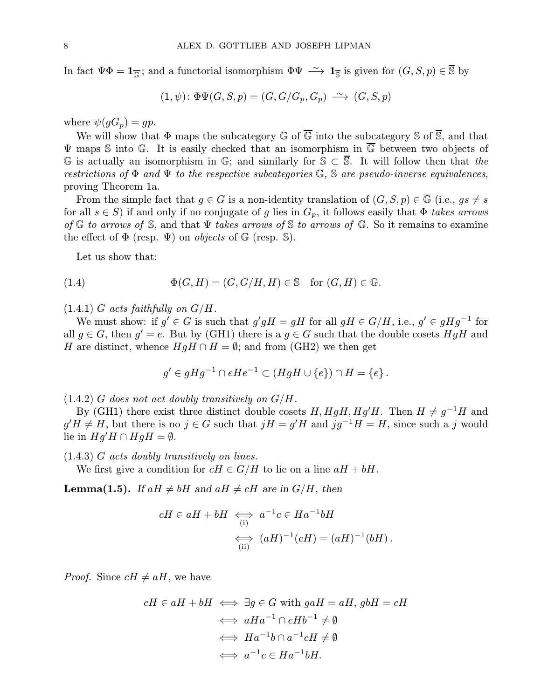In fact  $\Psi \Phi = \mathbf{1}_{\overline{\mathbb{G}}};$  and a functorial isomorphism  $\Phi \Psi \stackrel{\sim}{\longrightarrow} \mathbf{1}_{\overline{\mathbb{S}}}$  is given for  $(G, S, p) \in \overline{\mathbb{S}}$  by

$$
(1, \psi) \colon \Phi \Psi(G, S, p) = (G, G/G_p, G_p) \longrightarrow (G, S, p)
$$

where  $\psi(gG_p) = gp$ .

We will show that  $\Phi$  maps the subcategory  $\mathbb G$  of  $\overline{\mathbb G}$  into the subcategory  $\mathbb S$  of  $\overline{\mathbb S}$ , and that  $\Psi$  maps S into G. It is easily checked that an isomorphism in  $\overline{\mathbb{G}}$  between two objects of G is actually an isomorphism in G; and similarly for  $\mathcal{S} \subset \mathcal{S}$ . It will follow then that the restrictions of  $\Phi$  and  $\Psi$  to the respective subcategories  $\mathbb{G}$ ,  $\mathbb{S}$  are pseudo-inverse equivalences, proving Theorem 1a.

From the simple fact that  $g \in G$  is a non-identity translation of  $(G, S, p) \in \overline{\mathbb{G}}$  (i.e.,  $gs \neq s$ ) for all  $s \in S$ ) if and only if no conjugate of g lies in  $G_p$ , it follows easily that  $\Phi$  takes arrows of G to arrows of S, and that  $\Psi$  takes arrows of S to arrows of G. So it remains to examine the effect of  $\Phi$  (resp.  $\Psi$ ) on *objects* of  $\mathbb{G}$  (resp.  $\mathbb{S}$ ).

Let us show that:

(1.4) 
$$
\Phi(G, H) = (G, G/H, H) \in \mathbb{S} \text{ for } (G, H) \in \mathbb{G}.
$$

 $(1.4.1)$  G acts faithfully on  $G/H$ .

We must show: if  $g' \in G$  is such that  $g'gH = gH$  for all  $gH \in G/H$ , i.e.,  $g' \in gHg^{-1}$  for all  $g \in G$ , then  $g' = e$ . But by (GH1) there is a  $g \in G$  such that the double cosets HgH and H are distinct, whence  $HgH \cap H = \emptyset$ ; and from (GH2) we then get

$$
g' \in gHg^{-1} \cap eHe^{-1} \subset (HgH \cup \{e\}) \cap H = \{e\}.
$$

 $(1.4.2)$  G does not act doubly transitively on  $G/H$ .

By (GH1) there exist three distinct double cosets  $H, HgH, Hg'H$ . Then  $H \neq g^{-1}H$  and  $g'H \neq H$ , but there is no  $j \in G$  such that  $jH = g'H$  and  $jg^{-1}H = H$ , since such a j would lie in  $Hg'H\cap HgH=\emptyset.$ 

(1.4.3) G acts doubly transitively on lines.

We first give a condition for  $cH \in G/H$  to lie on a line  $aH + bH$ .

**Lemma(1.5).** If  $aH \neq bH$  and  $aH \neq cH$  are in  $G/H$ , then

$$
cH \in aH + bH \iff a^{-1}c \in Ha^{-1}bH
$$
  
\n
$$
\iff (aH)^{-1}(cH) = (aH)^{-1}(bH).
$$

*Proof.* Since  $cH \neq aH$ , we have

$$
cH \in aH + bH \iff \exists g \in G \text{ with } gaH = aH, g bH = cH
$$

$$
\iff aHa^{-1} \cap cHb^{-1} \neq \emptyset
$$

$$
\iff Ha^{-1}b \cap a^{-1}cH \neq \emptyset
$$

$$
\iff a^{-1}c \in Ha^{-1}bH.
$$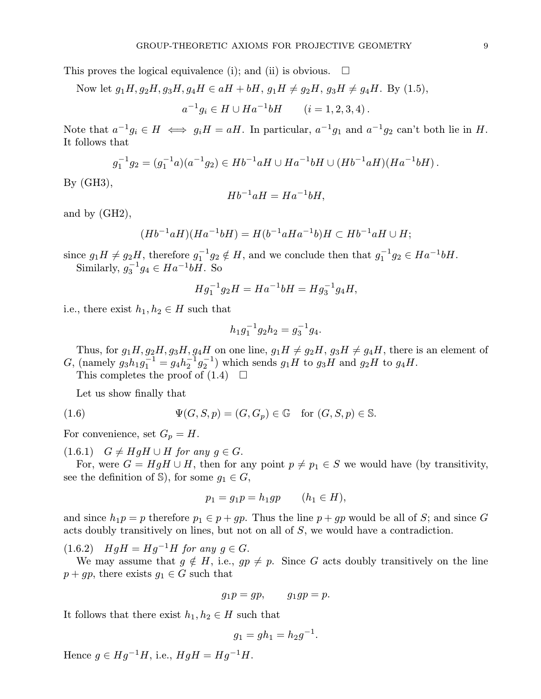This proves the logical equivalence (i); and (ii) is obvious.  $\Box$ 

Now let 
$$
g_1H, g_2H, g_3H, g_4H \in aH + bH, g_1H \neq g_2H, g_3H \neq g_4H
$$
. By (1.5),

$$
a^{-1}g_i \in H \cup Ha^{-1}bH \qquad (i = 1, 2, 3, 4).
$$

Note that  $a^{-1}g_i \in H \iff g_iH = aH$ . In particular,  $a^{-1}g_1$  and  $a^{-1}g_2$  can't both lie in H. It follows that

$$
g_1^{-1}g_2 = (g_1^{-1}a)(a^{-1}g_2) \in Hb^{-1}aH \cup Ha^{-1}bH \cup (Hb^{-1}aH)(Ha^{-1}bH).
$$

By (GH3),

$$
Hb^{-1}aH = Ha^{-1}bH,
$$

and by (GH2),

$$
(Hb^{-1}aH)(Ha^{-1}bH) = H(b^{-1}aHa^{-1}b)H \subset Hb^{-1}aH \cup H;
$$

since  $g_1H \neq g_2H$ , therefore  $g_1^{-1}g_2 \notin H$ , and we conclude then that  $g_1^{-1}g_2 \in Ha^{-1}bH$ . Similarly,  $g_3^{-1}g_4 \in Ha^{-1}bH$ . So

$$
Hg_1^{-1}g_2H = Ha^{-1}bH = Hg_3^{-1}g_4H,
$$

i.e., there exist  $h_1, h_2 \in H$  such that

$$
h_1 g_1^{-1} g_2 h_2 = g_3^{-1} g_4.
$$

Thus, for  $g_1H, g_2H, g_3H, g_4H$  on one line,  $g_1H \neq g_2H, g_3H \neq g_4H$ , there is an element of G, (namely  $g_3 h_1 g_1^{-1} = g_4 h_2^{-1} g_2^{-1}$ ) which sends  $g_1 H$  to  $g_3 H$  and  $g_2 H$  to  $g_4 H$ .

This completes the proof of  $(1.4)$ 

Let us show finally that

$$
(1.6) \t\t \Psi(G, S, p) = (G, G_p) \in \mathbb{G} \t for (G, S, p) \in \mathbb{S}.
$$

For convenience, set  $G_p = H$ .

 $(1.6.1)$   $G \neq HgH \cup H$  for any  $g \in G$ .

For, were  $G = HgH \cup H$ , then for any point  $p \neq p_1 \in S$  we would have (by transitivity, see the definition of  $\mathbb{S}$ ), for some  $g_1 \in G$ ,

$$
p_1 = g_1 p = h_1 gp \qquad (h_1 \in H),
$$

and since  $h_1p = p$  therefore  $p_1 \in p + gp$ . Thus the line  $p + gp$  would be all of S; and since G acts doubly transitively on lines, but not on all of S, we would have a contradiction.

(1.6.2)  $HgH = Hg^{-1}H$  for any  $g \in G$ .

We may assume that  $g \notin H$ , i.e.,  $gp \neq p$ . Since G acts doubly transitively on the line  $p + gp$ , there exists  $g_1 \in G$  such that

$$
g_1 p = gp, \qquad g_1 gp = p.
$$

It follows that there exist  $h_1, h_2 \in H$  such that

$$
g_1 = gh_1 = h_2 g^{-1}.
$$

Hence  $g \in Hg^{-1}H$ , i.e.,  $HgH = Hg^{-1}H$ .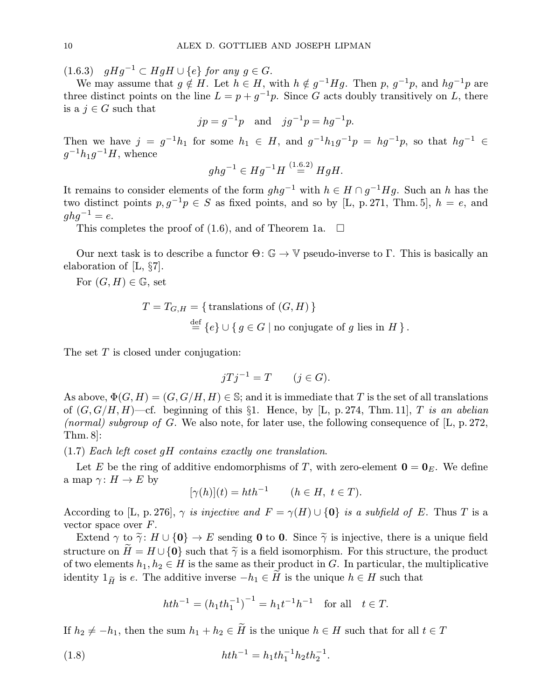(1.6.3)  $gHg^{-1} \subset HgH \cup \{e\}$  for any  $g \in G$ .

We may assume that  $g \notin H$ . Let  $h \in H$ , with  $h \notin g^{-1}Hg$ . Then p,  $g^{-1}p$ , and  $hg^{-1}p$  are three distinct points on the line  $L = p + g^{-1}p$ . Since G acts doubly transitively on L, there is a  $j \in G$  such that

$$
jp = g^{-1}p
$$
 and  $jg^{-1}p = hg^{-1}p$ .

Then we have  $j = g^{-1}h_1$  for some  $h_1 \in H$ , and  $g^{-1}h_1g^{-1}p = hg^{-1}p$ , so that  $hg^{-1} \in H$  $g^{-1}h_1g^{-1}H$ , whence

$$
ghg^{-1} \in Hg^{-1}H \stackrel{(1.6.2)}{=} HgH.
$$

It remains to consider elements of the form  $ghg^{-1}$  with  $h \in H \cap g^{-1}Hg$ . Such an h has the two distinct points  $p, g^{-1}p \in S$  as fixed points, and so by [L, p. 271, Thm. 5],  $h = e$ , and  $ghq^{-1} = e.$ 

This completes the proof of (1.6), and of Theorem 1a.  $\Box$ 

Our next task is to describe a functor  $\Theta: \mathbb{G} \to \mathbb{V}$  pseudo-inverse to Γ. This is basically an elaboration of [L, §7].

For  $(G, H) \in \mathbb{G}$ , set

$$
T = T_{G,H} = \{ \text{ translations of } (G,H) \}
$$
  

$$
\stackrel{\text{def}}{=} \{ e \} \cup \{ g \in G \mid \text{no conjugate of } g \text{ lies in } H \}.
$$

The set  $T$  is closed under conjugation:

$$
jTj^{-1} = T \qquad (j \in G).
$$

As above,  $\Phi(G, H) = (G, G/H, H) \in \mathbb{S}$ ; and it is immediate that T is the set of all translations of  $(G, G/H, H)$ —cf. beginning of this §1. Hence, by [L, p. 274, Thm. 11], T is an abelian (normal) subgroup of G. We also note, for later use, the following consequence of  $[L, p. 272,$ Thm. 8]:

(1.7) Each left coset gH contains exactly one translation.

Let E be the ring of additive endomorphisms of T, with zero-element  $\mathbf{0} = \mathbf{0}_E$ . We define a map  $\gamma: H \to E$  by

$$
[\gamma(h)](t) = hth^{-1} \qquad (h \in H, \ t \in T).
$$

According to [L, p. 276],  $\gamma$  is injective and  $F = \gamma(H) \cup \{0\}$  is a subfield of E. Thus T is a vector space over F.

Extend  $\gamma$  to  $\tilde{\gamma}$ :  $H \cup \{0\} \to E$  sending 0 to 0. Since  $\tilde{\gamma}$  is injective, there is a unique field structure on  $H = H \cup \{0\}$  such that  $\tilde{\gamma}$  is a field isomorphism. For this structure, the product of two elements  $h_1, h_2 \in H$  is the same as their product in G. In particular, the multiplicative identity  $1_{\widetilde{H}}$  is e. The additive inverse  $-h_1 \in H$  is the unique  $h \in H$  such that

$$
hth^{-1} = (h_1th_1^{-1})^{-1} = h_1t^{-1}h^{-1} \text{ for all } t \in T.
$$

If  $h_2 \neq -h_1$ , then the sum  $h_1 + h_2 \in \tilde{H}$  is the unique  $h \in H$  such that for all  $t \in T$ 

(1.8) 
$$
hth^{-1} = h_1th_1^{-1}h_2th_2^{-1}.
$$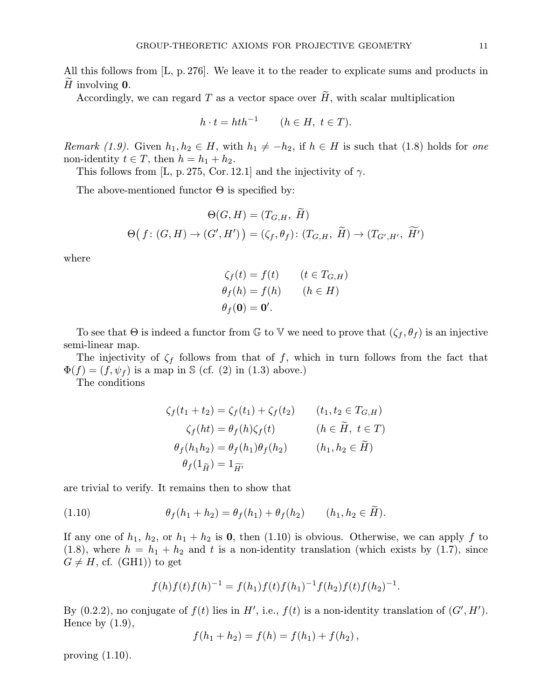All this follows from [L, p.276]. We leave it to the reader to explicate sums and products in H involving  $\mathbf{0}$ .

Accordingly, we can regard  $T$  as a vector space over  $\widetilde{H}$ , with scalar multiplication

$$
h \cdot t = hth^{-1} \qquad (h \in H, \ t \in T).
$$

*Remark* (1.9). Given  $h_1, h_2 \in H$ , with  $h_1 \neq -h_2$ , if  $h \in H$  is such that (1.8) holds for one non-identity  $t \in T$ , then  $h = h_1 + h_2$ .

This follows from [L, p. 275, Cor. 12.1] and the injectivity of  $\gamma$ .

The above-mentioned functor  $\Theta$  is specified by:

$$
\Theta(G, H) = (T_{G,H}, \tilde{H})
$$

$$
\Theta(f: (G, H) \to (G', H')) = (\zeta_f, \theta_f): (T_{G,H}, \tilde{H}) \to (T_{G',H'}, \tilde{H}')
$$

where

$$
\zeta_f(t) = f(t) \qquad (t \in T_{G,H})
$$
  
\n
$$
\theta_f(h) = f(h) \qquad (h \in H)
$$
  
\n
$$
\theta_f(\mathbf{0}) = \mathbf{0}'.
$$

To see that  $\Theta$  is indeed a functor from  $\mathbb G$  to  $\mathbb V$  we need to prove that  $(\zeta_f, \theta_f)$  is an injective semi-linear map.

The injectivity of  $\zeta_f$  follows from that of f, which in turn follows from the fact that  $\Phi(f)=(f,\psi_f )$  is a map in S (cf. (2) in (1.3) above.)

The conditions

$$
\zeta_f(t_1 + t_2) = \zeta_f(t_1) + \zeta_f(t_2) \qquad (t_1, t_2 \in T_{G,H})
$$
  

$$
\zeta_f(ht) = \theta_f(h)\zeta_f(t) \qquad (h \in \widetilde{H}, t \in T)
$$
  

$$
\theta_f(h_1h_2) = \theta_f(h_1)\theta_f(h_2) \qquad (h_1, h_2 \in \widetilde{H})
$$
  

$$
\theta_f(1_{\widetilde{H}}) = 1_{\widetilde{H'}}
$$

are trivial to verify. It remains then to show that

(1.10) 
$$
\theta_f(h_1 + h_2) = \theta_f(h_1) + \theta_f(h_2) \qquad (h_1, h_2 \in H).
$$

If any one of  $h_1$ ,  $h_2$ , or  $h_1 + h_2$  is 0, then (1.10) is obvious. Otherwise, we can apply f to (1.8), where  $h = h_1 + h_2$  and t is a non-identity translation (which exists by (1.7), since  $G \neq H$ , cf. (GH1)) to get

$$
f(h)f(t)f(h)^{-1} = f(h_1)f(t)f(h_1)^{-1}f(h_2)f(t)f(h_2)^{-1}.
$$

By (0.2.2), no conjugate of  $f(t)$  lies in H', i.e.,  $f(t)$  is a non-identity translation of  $(G', H')$ . Hence by  $(1.9)$ ,

$$
f(h_1 + h_2) = f(h) = f(h_1) + f(h_2),
$$

proving  $(1.10)$ .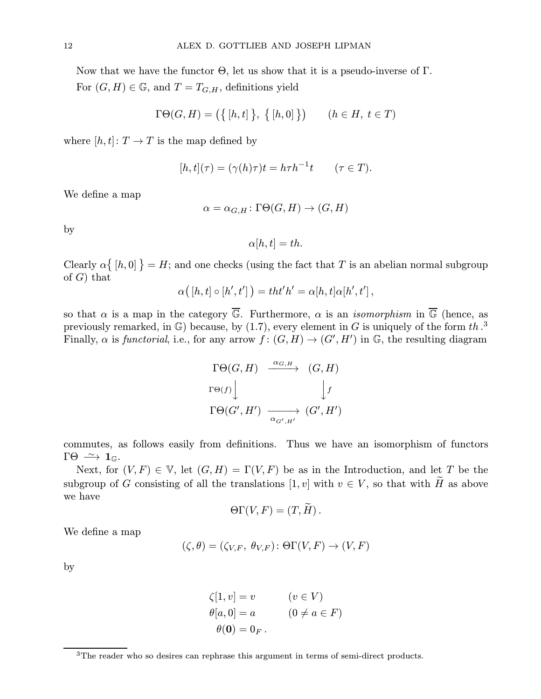Now that we have the functor Θ, let us show that it is a pseudo-inverse of Γ. For  $(G, H) \in \mathbb{G}$ , and  $T = T_{G,H}$ , definitions yield

$$
\Gamma \Theta(G, H) = \left( \{ [h, t] \}, \{ [h, 0] \} \right) \qquad (h \in H, \ t \in T)
$$

where  $[h, t]: T \rightarrow T$  is the map defined by

$$
[h, t](\tau) = (\gamma(h)\tau)t = h\tau h^{-1}t \qquad (\tau \in T).
$$

We define a map

$$
\alpha = \alpha_{G,H} \colon \Gamma \Theta(G,H) \to (G,H)
$$

by

$$
\alpha[h,t] = th.
$$

Clearly  $\alpha\{[h,0]\} = H$ ; and one checks (using the fact that T is an abelian normal subgroup of  $G$ ) that

$$
\alpha([h,t]\circ [h',t'])=tht'h'=\alpha[h,t]\alpha[h',t']\,,
$$

so that  $\alpha$  is a map in the category  $\overline{\mathbb{G}}$ . Furthermore,  $\alpha$  is an *isomorphism* in  $\overline{\mathbb{G}}$  (hence, as previously remarked, in  $\mathbb{G}$ ) because, by (1.7), every element in G is uniquely of the form th.<sup>3</sup> Finally,  $\alpha$  is *functorial*, i.e., for any arrow  $f: (G,H) \to (G',H')$  in  $\mathbb{G}$ , the resulting diagram

$$
\Gamma \Theta(G, H) \xrightarrow{\alpha_{G,H}} (G, H)
$$
  
\n
$$
\Gamma \Theta(f) \downarrow \qquad \qquad \downarrow f
$$
  
\n
$$
\Gamma \Theta(G', H') \xrightarrow{\alpha_{G', H'}} (G', H')
$$

commutes, as follows easily from definitions. Thus we have an isomorphism of functors  $\Gamma\Theta \stackrel{\sim}{\longrightarrow} \mathbf{1}_{\mathbb{G}}$ .

Next, for  $(V, F) \in V$ , let  $(G, H) = \Gamma(V, F)$  be as in the Introduction, and let T be the subgroup of G consisting of all the translations  $[1, v]$  with  $v \in V$ , so that with  $\widetilde{H}$  as above we have

$$
\Theta\Gamma(V,F)=(T,H)\,.
$$

We define a map

$$
(\zeta, \theta) = (\zeta_{V,F}, \ \theta_{V,F}) : \Theta\Gamma(V, F) \to (V, F)
$$

by

$$
\zeta[1, v] = v \qquad (v \in V)
$$
  
\n
$$
\theta[a, 0] = a \qquad (0 \neq a \in F)
$$
  
\n
$$
\theta(0) = 0_F.
$$

<sup>&</sup>lt;sup>3</sup>The reader who so desires can rephrase this argument in terms of semi-direct products.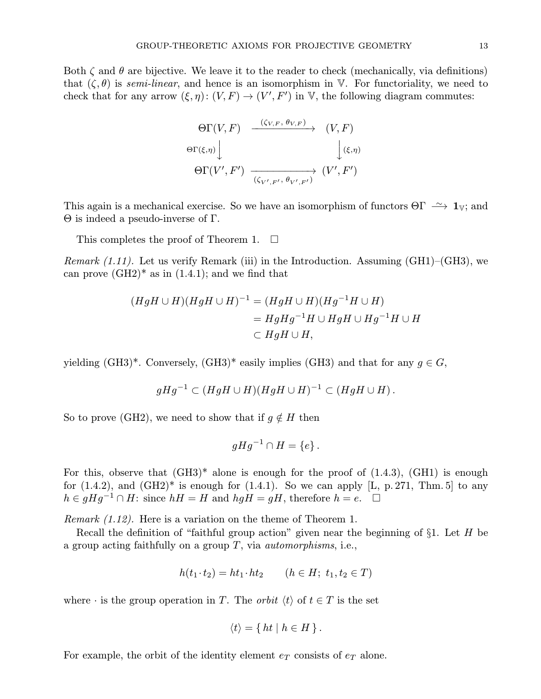Both  $\zeta$  and  $\theta$  are bijective. We leave it to the reader to check (mechanically, via definitions) that  $(\zeta,\theta)$  is semi-linear, and hence is an isomorphism in V. For functoriality, we need to check that for any arrow  $(\xi, \eta) : (V, F) \to (V', F')$  in V, the following diagram commutes:

$$
\Theta\Gamma(V,F) \xrightarrow{\quad (\zeta_{V,F}, \theta_{V,F}) \quad} (V,F)
$$
  

$$
\Theta\Gamma(\xi,\eta) \downarrow \qquad \qquad \downarrow (\xi,\eta)
$$
  

$$
\Theta\Gamma(V',F') \xrightarrow{\quad \qquad (\zeta_{V',F'}, \theta_{V',F'}) \quad} (V',F')
$$

This again is a mechanical exercise. So we have an isomorphism of functors  $\Theta \Gamma \longrightarrow \mathbf{1}_{V}$ ; and Θ is indeed a pseudo-inverse of Γ.

This completes the proof of Theorem 1.  $\Box$ 

*Remark (1.11).* Let us verify Remark (iii) in the Introduction. Assuming (GH1)–(GH3), we can prove  $(GH2)^*$  as in  $(1.4.1)$ ; and we find that

$$
(HgH \cup H)(HgH \cup H)^{-1} = (HgH \cup H)(Hg^{-1}H \cup H)
$$
  
=  $HgHg^{-1}H \cup HgH \cup Hg^{-1}H \cup H$   
 $\subset HgH \cup H$ ,

yielding (GH3)<sup>\*</sup>. Conversely, (GH3)<sup>\*</sup> easily implies (GH3) and that for any  $g \in G$ ,

$$
gHg^{-1} \subset (HgH \cup H)(HgH \cup H)^{-1} \subset (HgH \cup H).
$$

So to prove (GH2), we need to show that if  $g \notin H$  then

$$
gHg^{-1}\cap H=\{e\}.
$$

For this, observe that  $(GH3)^*$  alone is enough for the proof of  $(1.4.3)$ ,  $(GH1)$  is enough for  $(1.4.2)$ , and  $(GH2)^*$  is enough for  $(1.4.1)$ . So we can apply [L, p. 271, Thm. 5] to any  $h \in gHg^{-1} \cap H$ : since  $hH = H$  and  $hgH = gH$ , therefore  $h = e$ .  $\Box$ 

Remark (1.12). Here is a variation on the theme of Theorem 1.

Recall the definition of "faithful group action" given near the beginning of  $\S1$ . Let H be a group acting faithfully on a group  $T$ , via *automorphisms*, i.e.,

$$
h(t_1 \cdot t_2) = ht_1 \cdot ht_2 \qquad (h \in H; \ t_1, t_2 \in T)
$$

where  $\cdot$  is the group operation in T. The *orbit*  $\langle t \rangle$  of  $t \in T$  is the set

$$
\langle t \rangle = \{ ht \mid h \in H \}.
$$

For example, the orbit of the identity element  $e_T$  consists of  $e_T$  alone.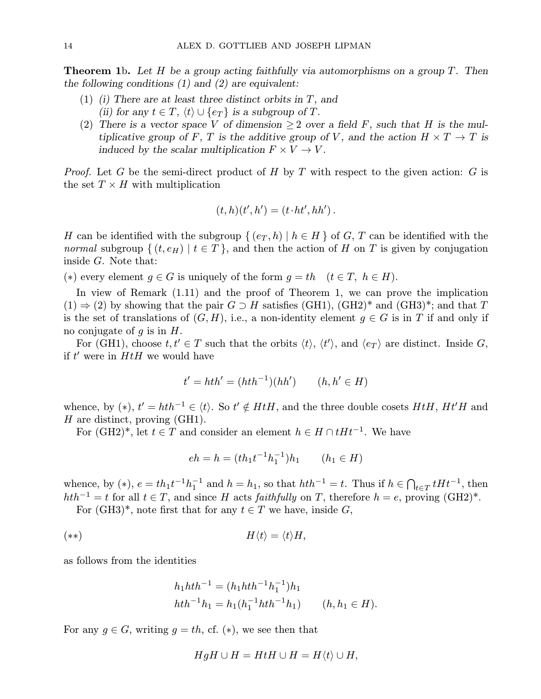**Theorem 1b.** Let H be a group acting faithfully via automorphisms on a group T. Then the following conditions  $(1)$  and  $(2)$  are equivalent:

- (1) (i) There are at least three distinct orbits in  $T$ , and (ii) for any  $t \in T$ ,  $\langle t \rangle \cup \{e_T\}$  is a subgroup of T.
- (2) There is a vector space V of dimension  $\geq 2$  over a field F, such that H is the multiplicative group of F, T is the additive group of V, and the action  $H \times T \to T$  is induced by the scalar multiplication  $F \times V \to V$ .

*Proof.* Let G be the semi-direct product of H by T with respect to the given action: G is the set  $T \times H$  with multiplication

$$
(t,h)(t',h')=(t\cdot ht',hh')\,.
$$

H can be identified with the subgroup  $\{(e_T, h) | h \in H\}$  of G, T can be identified with the *normal* subgroup  $\{(t, e_H) | t \in T\}$ , and then the action of H on T is given by conjugation inside G. Note that:

(\*) every element  $g \in G$  is uniquely of the form  $g = th$   $(t \in T, h \in H)$ .

In view of Remark (1.11) and the proof of Theorem 1, we can prove the implication  $(1) \Rightarrow (2)$  by showing that the pair  $G \supset H$  satisfies (GH1), (GH2)<sup>\*</sup> and (GH3)<sup>\*</sup>; and that T is the set of translations of  $(G, H)$ , i.e., a non-identity element  $g \in G$  is in T if and only if no conjugate of q is in  $H$ .

For (GH1), choose  $t, t' \in T$  such that the orbits  $\langle t \rangle$ ,  $\langle t' \rangle$ , and  $\langle e_T \rangle$  are distinct. Inside G, if  $t'$  were in  $HtH$  we would have

$$
t' = hth' = (hth^{-1})(hh') \qquad (h, h' \in H)
$$

whence, by (\*),  $t' = hth^{-1} \in \langle t \rangle$ . So  $t' \notin HtH$ , and the three double cosets  $HtH$ ,  $Ht'H$  and  $H$  are distinct, proving (GH1).

For  $(GH2)^*$ , let  $t \in T$  and consider an element  $h \in H \cap tHt^{-1}$ . We have

$$
eh = h = (th_1t^{-1}h_1^{-1})h_1 \qquad (h_1 \in H)
$$

whence, by (\*),  $e = th_1t^{-1}h_1^{-1}$  and  $h = h_1$ , so that  $hth^{-1} = t$ . Thus if  $h \in \bigcap_{t \in T} tHt^{-1}$ , then  $hth^{-1} = t$  for all  $t \in T$ , and since H acts faithfully on T, therefore  $h = e$ , proving  $(H2)^*$ .

For  $(GH3)^*$ , note first that for any  $t \in T$  we have, inside G,

$$
H\langle t\rangle = \langle t\rangle H,
$$

as follows from the identities

$$
h_1hth^{-1} = (h_1hth^{-1}h_1^{-1})h_1
$$
  

$$
hth^{-1}h_1 = h_1(h_1^{-1}hth^{-1}h_1) \qquad (h, h_1 \in H).
$$

For any  $g \in G$ , writing  $g = th$ , cf. (\*), we see then that

$$
HgH \cup H = HtH \cup H = H\langle t \rangle \cup H,
$$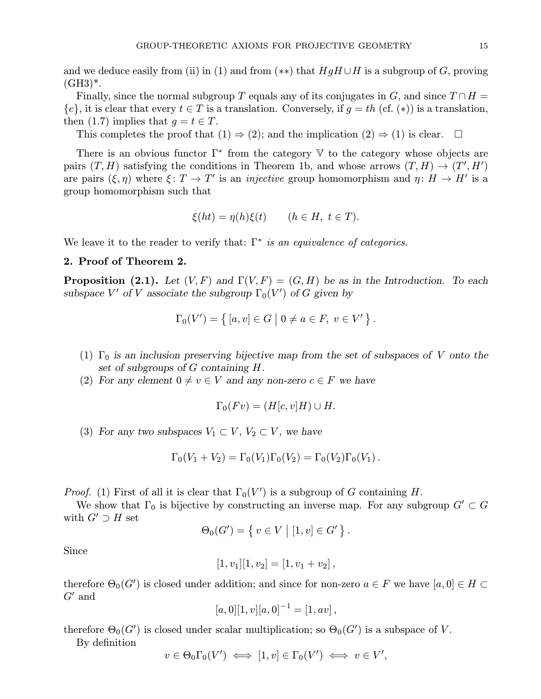and we deduce easily from (ii) in (1) and from (\*\*) that  $HgH \cup H$  is a subgroup of G, proving  $(GH3)^*$ .

Finally, since the normal subgroup T equals any of its conjugates in G, and since  $T \cap H =$  ${e}$ , it is clear that every  $t \in T$  is a translation. Conversely, if  $g = th$  (cf.  $(*)$ ) is a translation, then (1.7) implies that  $q = t \in T$ .

This completes the proof that  $(1) \Rightarrow (2)$ ; and the implication  $(2) \Rightarrow (1)$  is clear.  $\Box$ 

There is an obvious functor  $\Gamma^*$  from the category  $\mathbb {V}$  to the category whose objects are pairs  $(T, H)$  satisfying the conditions in Theorem 1b, and whose arrows  $(T, H) \rightarrow (T', H')$ are pairs  $(\xi, \eta)$  where  $\xi : T \to T'$  is an *injective* group homomorphism and  $\eta : H \to H'$  is a group homomorphism such that

$$
\xi(ht) = \eta(h)\xi(t) \qquad (h \in H, \ t \in T).
$$

We leave it to the reader to verify that:  $\Gamma^*$  is an equivalence of categories.

## 2. Proof of Theorem 2.

**Proposition (2.1).** Let  $(V, F)$  and  $\Gamma(V, F) = (G, H)$  be as in the Introduction. To each subspace  $V'$  of V associate the subgroup  $\Gamma_0(V')$  of G given by

$$
\Gamma_0(V') = \{ [a, v] \in G \mid 0 \neq a \in F, v \in V' \}.
$$

- (1)  $\Gamma_0$  is an inclusion preserving bijective map from the set of subspaces of V onto the set of subgroups of G containing H.
- (2) For any element  $0 \neq v \in V$  and any non-zero  $c \in F$  we have

$$
\Gamma_0(Fv) = (H[c, v]H) \cup H.
$$

(3) For any two subspaces  $V_1 \subset V$ ,  $V_2 \subset V$ , we have

$$
\Gamma_0(V_1+V_2)=\Gamma_0(V_1)\Gamma_0(V_2)=\Gamma_0(V_2)\Gamma_0(V_1).
$$

*Proof.* (1) First of all it is clear that  $\Gamma_0(V')$  is a subgroup of G containing H.

We show that  $\Gamma_0$  is bijective by constructing an inverse map. For any subgroup  $G' \subset G$ with  $G' \supset H$  set

$$
\Theta_0(G') = \{ v \in V \mid [1, v] \in G' \}.
$$

Since

$$
[1, v1][1, v2] = [1, v1 + v2],
$$

therefore  $\Theta_0(G')$  is closed under addition; and since for non-zero  $a \in F$  we have  $[a, 0] \in H \subset$  $G'$  and

$$
[a,0][1,v][a,0]^{-1}=[1,av],
$$

therefore  $\Theta_0(G')$  is closed under scalar multiplication; so  $\Theta_0(G')$  is a subspace of V.

By definition

$$
v \in \Theta_0 \Gamma_0(V') \iff [1, v] \in \Gamma_0(V') \iff v \in V',
$$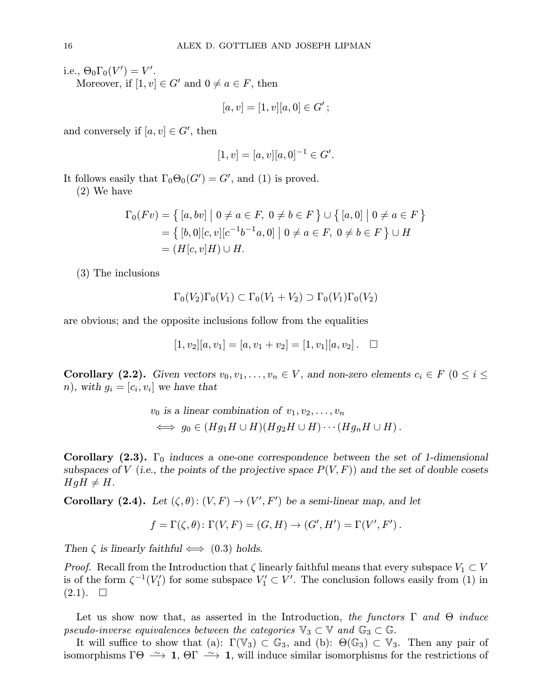i.e.,  $\Theta_0 \Gamma_0(V') = V'.$ 

Moreover, if  $[1, v] \in G'$  and  $0 \neq a \in F$ , then

$$
[a, v] = [1, v][a, 0] \in G';
$$

and conversely if  $[a, v] \in G'$ , then

$$
[1, v] = [a, v][a, 0]^{-1} \in G'.
$$

It follows easily that  $\Gamma_0 \Theta_0(G') = G'$ , and (1) is proved.

(2) We have

$$
\Gamma_0(Fv) = \{ [a, bv] \mid 0 \neq a \in F, 0 \neq b \in F \} \cup \{ [a, 0] \mid 0 \neq a \in F \}
$$
  
= 
$$
\{ [b, 0] [c, v] [c^{-1} b^{-1} a, 0] \mid 0 \neq a \in F, 0 \neq b \in F \} \cup H
$$
  
= 
$$
(H[c, v]H) \cup H.
$$

(3) The inclusions

$$
\Gamma_0(V_2)\Gamma_0(V_1)\subset \Gamma_0(V_1+V_2)\supset \Gamma_0(V_1)\Gamma_0(V_2)
$$

are obvious; and the opposite inclusions follow from the equalities

$$
[1, v_2][a, v_1] = [a, v_1 + v_2] = [1, v_1][a, v_2]. \square
$$

Corollary (2.2). Given vectors  $v_0, v_1, \ldots, v_n \in V$ , and non-zero elements  $c_i \in F$  ( $0 \le i \le$ n), with  $g_i = [c_i, v_i]$  we have that

$$
v_0
$$
 is a linear combination of  $v_1, v_2, \ldots, v_n$   
 $\iff g_0 \in (Hg_1H \cup H)(Hg_2H \cup H) \cdots (Hg_nH \cup H).$ 

**Corollary (2.3).**  $\Gamma_0$  induces a one-one correspondence between the set of 1-dimensional subspaces of V (i.e., the points of the projective space  $P(V, F)$ ) and the set of double cosets  $HgH \neq H$ .

**Corollary** (2.4). Let  $(\zeta, \theta) : (V, F) \to (V', F')$  be a semi-linear map, and let

$$
f = \Gamma(\zeta, \theta) \colon \Gamma(V, F) = (G, H) \to (G', H') = \Gamma(V', F').
$$

Then  $\zeta$  is linearly faithful  $\Longleftrightarrow$  (0.3) holds.

*Proof.* Recall from the Introduction that  $\zeta$  linearly faithful means that every subspace  $V_1 \subset V$ is of the form  $\zeta^{-1}(V'_1)$  for some subspace  $V'_1 \subset V'$ . The conclusion follows easily from (1) in  $(2.1). \square$ 

Let us show now that, as asserted in the Introduction, the functors  $\Gamma$  and  $\Theta$  induce pseudo-inverse equivalences between the categories  $\mathbb{V}_3 \subset \mathbb{V}$  and  $\mathbb{G}_3 \subset \mathbb{G}$ .

It will suffice to show that (a):  $\Gamma(\mathbb{V}_3) \subset \mathbb{G}_3$ , and (b):  $\Theta(\mathbb{G}_3) \subset \mathbb{V}_3$ . Then any pair of isomorphisms  $\Gamma\Theta \longrightarrow 1$ ,  $\Theta\Gamma \longrightarrow 1$ , will induce similar isomorphisms for the restrictions of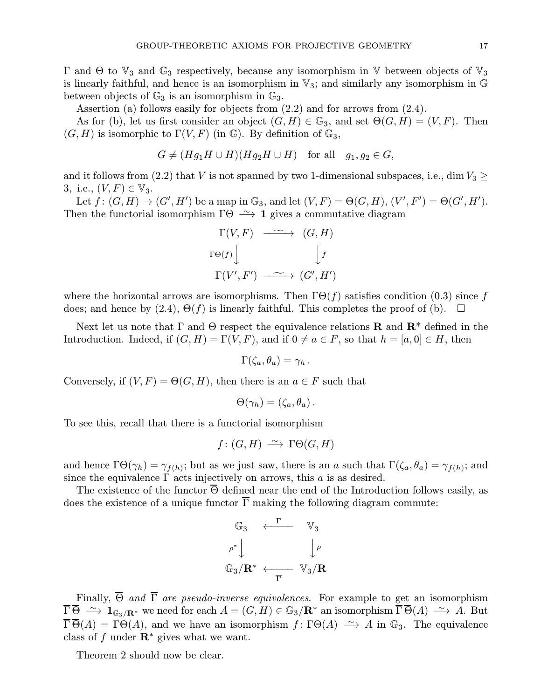$Γ$  and  $Θ$  to  $V_3$  and  $G_3$  respectively, because any isomorphism in V between objects of  $V_3$ is linearly faithful, and hence is an isomorphism in  $\mathbb{V}_3$ ; and similarly any isomorphism in  $\mathbb{G}$ between objects of  $\mathbb{G}_3$  is an isomorphism in  $\mathbb{G}_3$ .

Assertion (a) follows easily for objects from (2.2) and for arrows from (2.4).

As for (b), let us first consider an object  $(G, H) \in \mathbb{G}_3$ , and set  $\Theta(G, H) = (V, F)$ . Then  $(G, H)$  is isomorphic to  $\Gamma(V, F)$  (in  $\mathbb{G}$ ). By definition of  $\mathbb{G}_3$ ,

$$
G \neq (Hg_1H \cup H)(Hg_2H \cup H) \text{ for all } g_1, g_2 \in G,
$$

and it follows from (2.2) that V is not spanned by two 1-dimensional subspaces, i.e., dim  $V_3 \geq$ 3, i.e.,  $(V, F) \in V_3$ .

Let  $f\colon (G,H)\to (G',H')$  be a map in  $\mathbb{G}_3$ , and let  $(V,F)=\Theta(G,H),$   $(V',F')=\Theta(G',H').$ Then the functorial isomorphism  $\Gamma\Theta \cong \Gamma$  agives a commutative diagram

$$
\Gamma(V, F) \longrightarrow (G, H)
$$
  
\n
$$
\Gamma(\Theta(f)) \downarrow \qquad \qquad \downarrow f
$$
  
\n
$$
\Gamma(V', F') \longrightarrow (G', H')
$$

where the horizontal arrows are isomorphisms. Then  $\Gamma\Theta(f)$  satisfies condition (0.3) since f does; and hence by (2.4),  $\Theta(f)$  is linearly faithful. This completes the proof of (b).  $\Box$ 

Next let us note that  $\Gamma$  and  $\Theta$  respect the equivalence relations **R** and  $\mathbb{R}^*$  defined in the Introduction. Indeed, if  $(G, H) = \Gamma(V, F)$ , and if  $0 \neq a \in F$ , so that  $h = [a, 0] \in H$ , then

$$
\Gamma(\zeta_a,\theta_a)=\gamma_h.
$$

Conversely, if  $(V, F) = \Theta(G, H)$ , then there is an  $a \in F$  such that

$$
\Theta(\gamma_h) = (\zeta_a, \theta_a)\,.
$$

To see this, recall that there is a functorial isomorphism

$$
f: (G, H) \longrightarrow \Gamma \Theta(G, H)
$$

and hence  $\Gamma\Theta(\gamma_h) = \gamma_{f(h)}$ ; but as we just saw, there is an a such that  $\Gamma(\zeta_a, \theta_a) = \gamma_{f(h)}$ ; and since the equivalence  $\Gamma$  acts injectively on arrows, this a is as desired.

The existence of the functor  $\overline{\Theta}$  defined near the end of the Introduction follows easily, as does the existence of a unique functor  $\overline{\Gamma}$  making the following diagram commute:



Finally,  $\overline{\Theta}$  and  $\overline{\Gamma}$  are pseudo-inverse equivalences. For example to get an isomorphism  $\overline{\Gamma} \overline{\Theta} \stackrel{\sim}{\longrightarrow} \mathbf{1}_{\mathbb{G}_3/\mathbf{R}^*}$  we need for each  $A = (G, H) \in \mathbb{G}_3/\mathbf{R}^*$  an isomorphism  $\overline{\Gamma} \overline{\Theta}(A) \stackrel{\sim}{\longrightarrow} A$ . But  $\overline{\Gamma} \overline{\Theta}(A) = \Gamma \Theta(A)$ , and we have an isomorphism  $f : \Gamma \Theta(A) \longrightarrow A$  in  $\mathbb{G}_3$ . The equivalence class of f under  $\mathbb{R}^*$  gives what we want.

Theorem 2 should now be clear.